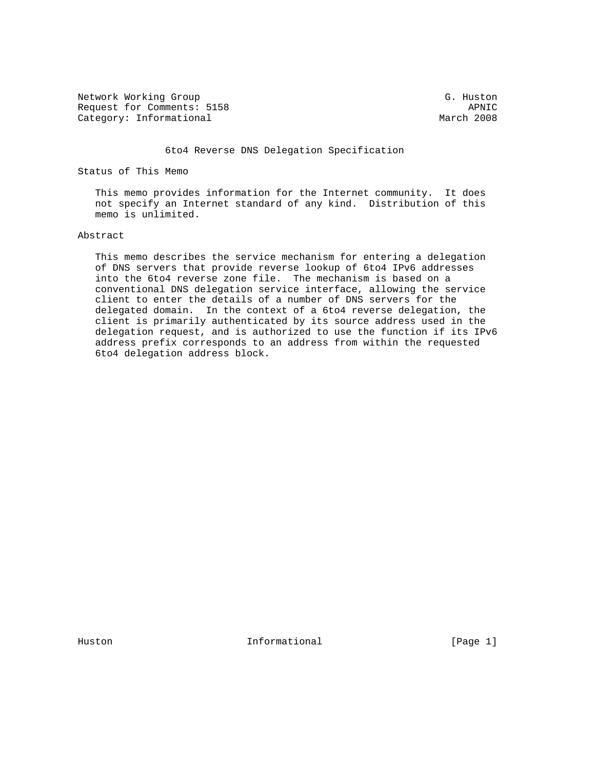Network Working Group G. Huston G. Huston Request for Comments: 5158<br>
Category: Informational and Category: Informational Category: Informational

### 6to4 Reverse DNS Delegation Specification

Status of This Memo

 This memo provides information for the Internet community. It does not specify an Internet standard of any kind. Distribution of this memo is unlimited.

#### Abstract

 This memo describes the service mechanism for entering a delegation of DNS servers that provide reverse lookup of 6to4 IPv6 addresses into the 6to4 reverse zone file. The mechanism is based on a conventional DNS delegation service interface, allowing the service client to enter the details of a number of DNS servers for the delegated domain. In the context of a 6to4 reverse delegation, the client is primarily authenticated by its source address used in the delegation request, and is authorized to use the function if its IPv6 address prefix corresponds to an address from within the requested 6to4 delegation address block.

Huston **Informational Informational** [Page 1]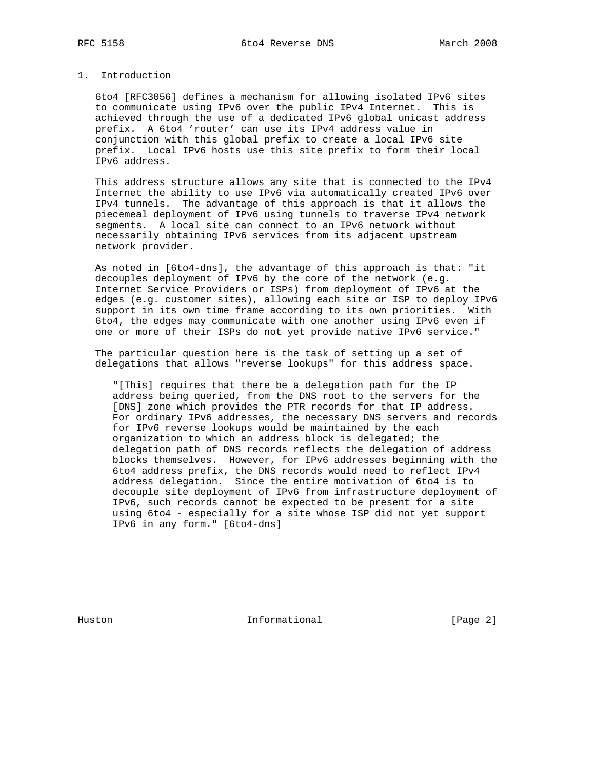# 1. Introduction

 6to4 [RFC3056] defines a mechanism for allowing isolated IPv6 sites to communicate using IPv6 over the public IPv4 Internet. This is achieved through the use of a dedicated IPv6 global unicast address prefix. A 6to4 'router' can use its IPv4 address value in conjunction with this global prefix to create a local IPv6 site prefix. Local IPv6 hosts use this site prefix to form their local IPv6 address.

 This address structure allows any site that is connected to the IPv4 Internet the ability to use IPv6 via automatically created IPv6 over IPv4 tunnels. The advantage of this approach is that it allows the piecemeal deployment of IPv6 using tunnels to traverse IPv4 network segments. A local site can connect to an IPv6 network without necessarily obtaining IPv6 services from its adjacent upstream network provider.

 As noted in [6to4-dns], the advantage of this approach is that: "it decouples deployment of IPv6 by the core of the network (e.g. Internet Service Providers or ISPs) from deployment of IPv6 at the edges (e.g. customer sites), allowing each site or ISP to deploy IPv6 support in its own time frame according to its own priorities. With 6to4, the edges may communicate with one another using IPv6 even if one or more of their ISPs do not yet provide native IPv6 service."

 The particular question here is the task of setting up a set of delegations that allows "reverse lookups" for this address space.

 "[This] requires that there be a delegation path for the IP address being queried, from the DNS root to the servers for the [DNS] zone which provides the PTR records for that IP address. For ordinary IPv6 addresses, the necessary DNS servers and records for IPv6 reverse lookups would be maintained by the each organization to which an address block is delegated; the delegation path of DNS records reflects the delegation of address blocks themselves. However, for IPv6 addresses beginning with the 6to4 address prefix, the DNS records would need to reflect IPv4 address delegation. Since the entire motivation of 6to4 is to decouple site deployment of IPv6 from infrastructure deployment of IPv6, such records cannot be expected to be present for a site using 6to4 - especially for a site whose ISP did not yet support IPv6 in any form." [6to4-dns]

Huston **Informational Informational** [Page 2]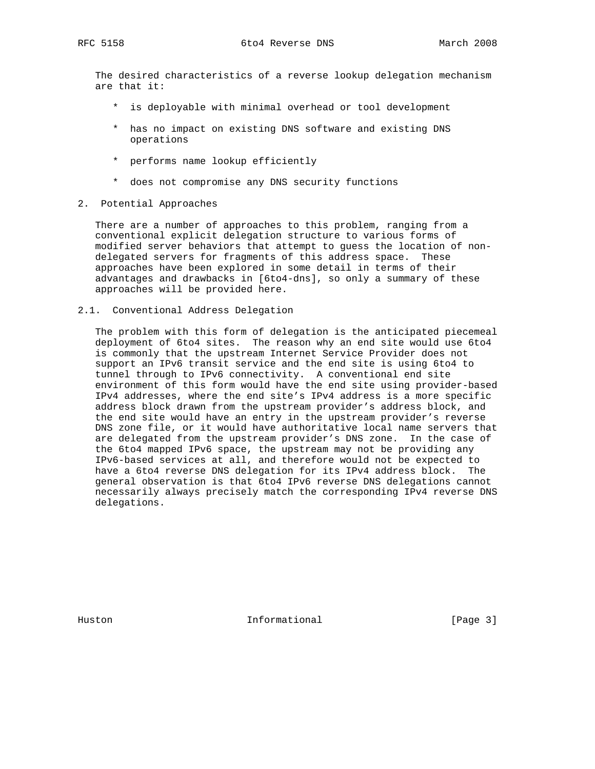The desired characteristics of a reverse lookup delegation mechanism are that it:

- \* is deployable with minimal overhead or tool development
- \* has no impact on existing DNS software and existing DNS operations
- \* performs name lookup efficiently
- \* does not compromise any DNS security functions
- 2. Potential Approaches

 There are a number of approaches to this problem, ranging from a conventional explicit delegation structure to various forms of modified server behaviors that attempt to guess the location of non delegated servers for fragments of this address space. These approaches have been explored in some detail in terms of their advantages and drawbacks in [6to4-dns], so only a summary of these approaches will be provided here.

2.1. Conventional Address Delegation

 The problem with this form of delegation is the anticipated piecemeal deployment of 6to4 sites. The reason why an end site would use 6to4 is commonly that the upstream Internet Service Provider does not support an IPv6 transit service and the end site is using 6to4 to tunnel through to IPv6 connectivity. A conventional end site environment of this form would have the end site using provider-based IPv4 addresses, where the end site's IPv4 address is a more specific address block drawn from the upstream provider's address block, and the end site would have an entry in the upstream provider's reverse DNS zone file, or it would have authoritative local name servers that are delegated from the upstream provider's DNS zone. In the case of the 6to4 mapped IPv6 space, the upstream may not be providing any IPv6-based services at all, and therefore would not be expected to have a 6to4 reverse DNS delegation for its IPv4 address block. The general observation is that 6to4 IPv6 reverse DNS delegations cannot necessarily always precisely match the corresponding IPv4 reverse DNS delegations.

Huston **Informational Informational** [Page 3]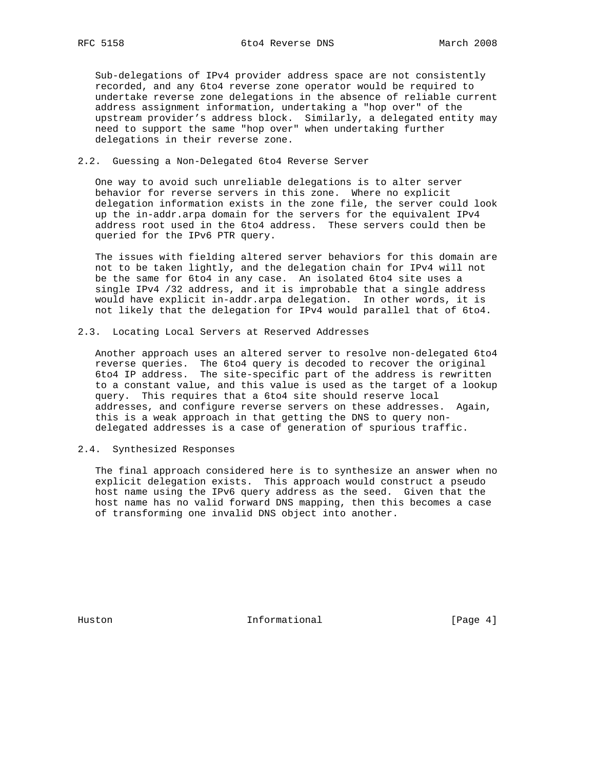Sub-delegations of IPv4 provider address space are not consistently recorded, and any 6to4 reverse zone operator would be required to undertake reverse zone delegations in the absence of reliable current address assignment information, undertaking a "hop over" of the upstream provider's address block. Similarly, a delegated entity may need to support the same "hop over" when undertaking further delegations in their reverse zone.

#### 2.2. Guessing a Non-Delegated 6to4 Reverse Server

 One way to avoid such unreliable delegations is to alter server behavior for reverse servers in this zone. Where no explicit delegation information exists in the zone file, the server could look up the in-addr.arpa domain for the servers for the equivalent IPv4 address root used in the 6to4 address. These servers could then be queried for the IPv6 PTR query.

 The issues with fielding altered server behaviors for this domain are not to be taken lightly, and the delegation chain for IPv4 will not be the same for 6to4 in any case. An isolated 6to4 site uses a single IPv4 /32 address, and it is improbable that a single address would have explicit in-addr.arpa delegation. In other words, it is not likely that the delegation for IPv4 would parallel that of 6to4.

2.3. Locating Local Servers at Reserved Addresses

 Another approach uses an altered server to resolve non-delegated 6to4 reverse queries. The 6to4 query is decoded to recover the original 6to4 IP address. The site-specific part of the address is rewritten to a constant value, and this value is used as the target of a lookup query. This requires that a 6to4 site should reserve local addresses, and configure reverse servers on these addresses. Again, this is a weak approach in that getting the DNS to query non delegated addresses is a case of generation of spurious traffic.

2.4. Synthesized Responses

 The final approach considered here is to synthesize an answer when no explicit delegation exists. This approach would construct a pseudo host name using the IPv6 query address as the seed. Given that the host name has no valid forward DNS mapping, then this becomes a case of transforming one invalid DNS object into another.

Huston **Informational Informational** [Page 4]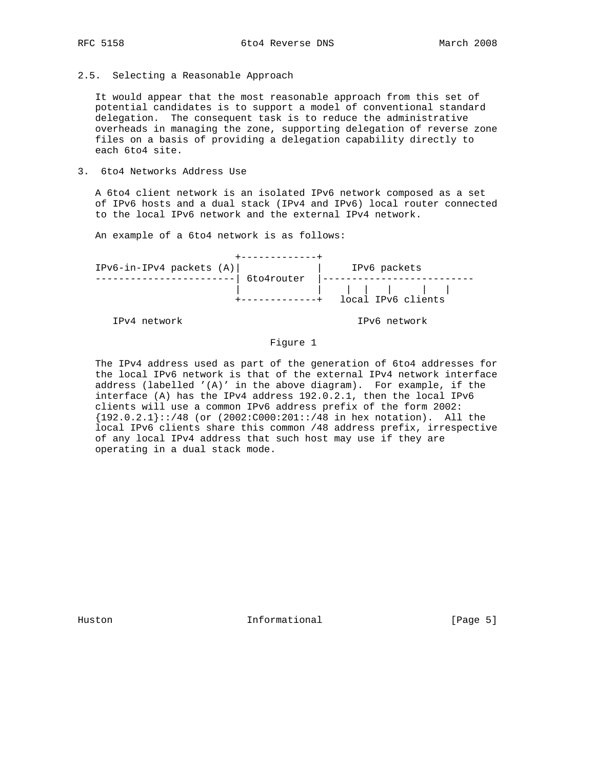2.5. Selecting a Reasonable Approach

 It would appear that the most reasonable approach from this set of potential candidates is to support a model of conventional standard delegation. The consequent task is to reduce the administrative overheads in managing the zone, supporting delegation of reverse zone files on a basis of providing a delegation capability directly to each 6to4 site.

3. 6to4 Networks Address Use

 A 6to4 client network is an isolated IPv6 network composed as a set of IPv6 hosts and a dual stack (IPv4 and IPv6) local router connected to the local IPv6 network and the external IPv4 network.

An example of a 6to4 network is as follows:

| $IPv6-in-IPv4$ packets $(A)$ | IPv6 packets       |
|------------------------------|--------------------|
| 6to4router                   |                    |
|                              | $\blacksquare$     |
|                              | local IPv6 clients |

IPv4 network IPv6 network

## Figure 1

 The IPv4 address used as part of the generation of 6to4 addresses for the local IPv6 network is that of the external IPv4 network interface address (labelled  $'(A)'$  in the above diagram). For example, if the interface (A) has the IPv4 address 192.0.2.1, then the local IPv6 clients will use a common IPv6 address prefix of the form 2002: {192.0.2.1}::/48 (or (2002:C000:201::/48 in hex notation). All the local IPv6 clients share this common /48 address prefix, irrespective of any local IPv4 address that such host may use if they are operating in a dual stack mode.

Huston **Informational Informational** [Page 5]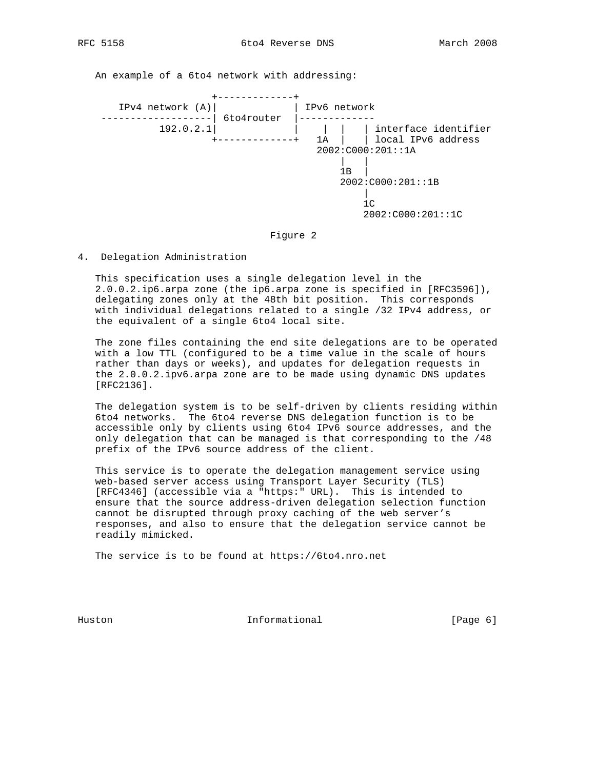An example of a 6to4 network with addressing:



#### Figure 2

4. Delegation Administration

 This specification uses a single delegation level in the 2.0.0.2.ip6.arpa zone (the ip6.arpa zone is specified in [RFC3596]), delegating zones only at the 48th bit position. This corresponds with individual delegations related to a single /32 IPv4 address, or the equivalent of a single 6to4 local site.

 The zone files containing the end site delegations are to be operated with a low TTL (configured to be a time value in the scale of hours rather than days or weeks), and updates for delegation requests in the 2.0.0.2.ipv6.arpa zone are to be made using dynamic DNS updates [RFC2136].

 The delegation system is to be self-driven by clients residing within 6to4 networks. The 6to4 reverse DNS delegation function is to be accessible only by clients using 6to4 IPv6 source addresses, and the only delegation that can be managed is that corresponding to the /48 prefix of the IPv6 source address of the client.

 This service is to operate the delegation management service using web-based server access using Transport Layer Security (TLS) [RFC4346] (accessible via a "https:" URL). This is intended to ensure that the source address-driven delegation selection function cannot be disrupted through proxy caching of the web server's responses, and also to ensure that the delegation service cannot be readily mimicked.

The service is to be found at https://6to4.nro.net

Huston **Informational Informational** [Page 6]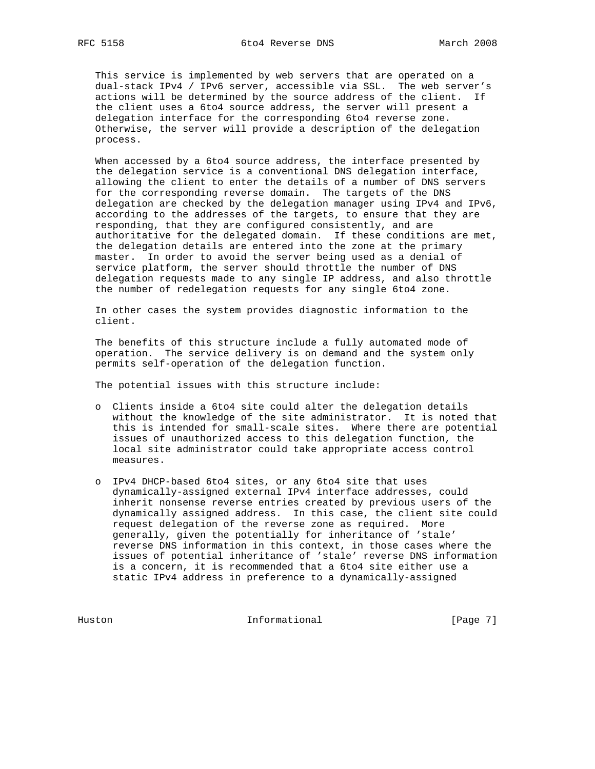This service is implemented by web servers that are operated on a dual-stack IPv4 / IPv6 server, accessible via SSL. The web server's actions will be determined by the source address of the client. If the client uses a 6to4 source address, the server will present a delegation interface for the corresponding 6to4 reverse zone. Otherwise, the server will provide a description of the delegation process.

 When accessed by a 6to4 source address, the interface presented by the delegation service is a conventional DNS delegation interface, allowing the client to enter the details of a number of DNS servers for the corresponding reverse domain. The targets of the DNS delegation are checked by the delegation manager using IPv4 and IPv6, according to the addresses of the targets, to ensure that they are responding, that they are configured consistently, and are authoritative for the delegated domain. If these conditions are met, the delegation details are entered into the zone at the primary master. In order to avoid the server being used as a denial of service platform, the server should throttle the number of DNS delegation requests made to any single IP address, and also throttle the number of redelegation requests for any single 6to4 zone.

 In other cases the system provides diagnostic information to the client.

 The benefits of this structure include a fully automated mode of operation. The service delivery is on demand and the system only permits self-operation of the delegation function.

The potential issues with this structure include:

- o Clients inside a 6to4 site could alter the delegation details without the knowledge of the site administrator. It is noted that this is intended for small-scale sites. Where there are potential issues of unauthorized access to this delegation function, the local site administrator could take appropriate access control measures.
- o IPv4 DHCP-based 6to4 sites, or any 6to4 site that uses dynamically-assigned external IPv4 interface addresses, could inherit nonsense reverse entries created by previous users of the dynamically assigned address. In this case, the client site could request delegation of the reverse zone as required. More generally, given the potentially for inheritance of 'stale' reverse DNS information in this context, in those cases where the issues of potential inheritance of 'stale' reverse DNS information is a concern, it is recommended that a 6to4 site either use a static IPv4 address in preference to a dynamically-assigned

Huston Informational [Page 7]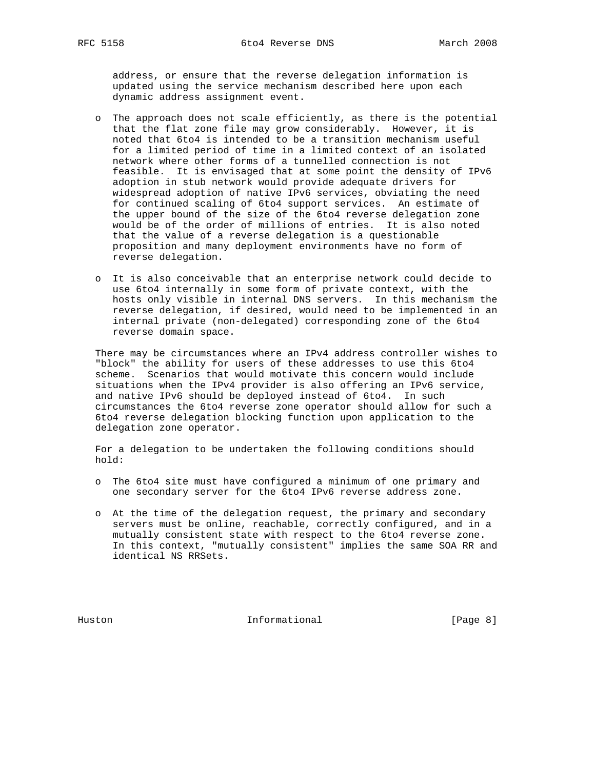address, or ensure that the reverse delegation information is updated using the service mechanism described here upon each dynamic address assignment event.

- o The approach does not scale efficiently, as there is the potential that the flat zone file may grow considerably. However, it is noted that 6to4 is intended to be a transition mechanism useful for a limited period of time in a limited context of an isolated network where other forms of a tunnelled connection is not feasible. It is envisaged that at some point the density of IPv6 adoption in stub network would provide adequate drivers for widespread adoption of native IPv6 services, obviating the need for continued scaling of 6to4 support services. An estimate of the upper bound of the size of the 6to4 reverse delegation zone would be of the order of millions of entries. It is also noted that the value of a reverse delegation is a questionable proposition and many deployment environments have no form of reverse delegation.
- o It is also conceivable that an enterprise network could decide to use 6to4 internally in some form of private context, with the hosts only visible in internal DNS servers. In this mechanism the reverse delegation, if desired, would need to be implemented in an internal private (non-delegated) corresponding zone of the 6to4 reverse domain space.

 There may be circumstances where an IPv4 address controller wishes to "block" the ability for users of these addresses to use this 6to4 scheme. Scenarios that would motivate this concern would include situations when the IPv4 provider is also offering an IPv6 service, and native IPv6 should be deployed instead of 6to4. In such circumstances the 6to4 reverse zone operator should allow for such a 6to4 reverse delegation blocking function upon application to the delegation zone operator.

 For a delegation to be undertaken the following conditions should hold:

- o The 6to4 site must have configured a minimum of one primary and one secondary server for the 6to4 IPv6 reverse address zone.
- o At the time of the delegation request, the primary and secondary servers must be online, reachable, correctly configured, and in a mutually consistent state with respect to the 6to4 reverse zone. In this context, "mutually consistent" implies the same SOA RR and identical NS RRSets.

Huston **Informational Informational** [Page 8]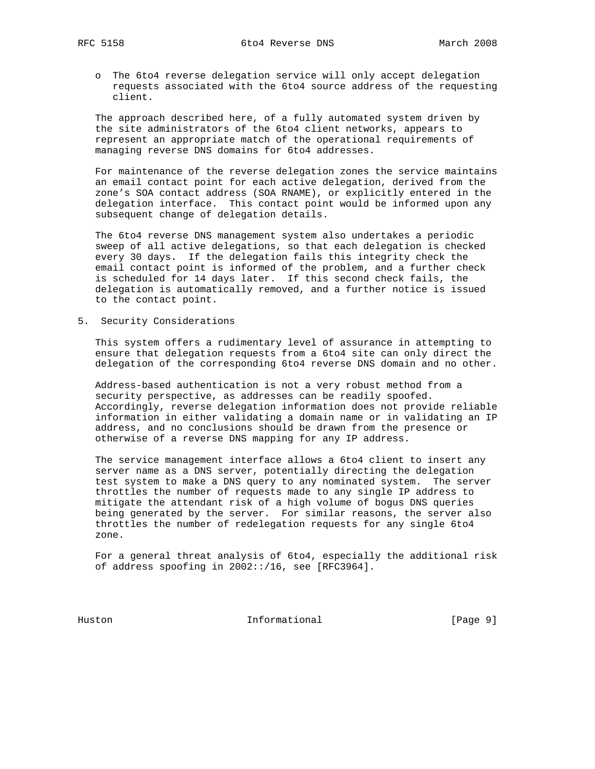o The 6to4 reverse delegation service will only accept delegation requests associated with the 6to4 source address of the requesting client.

 The approach described here, of a fully automated system driven by the site administrators of the 6to4 client networks, appears to represent an appropriate match of the operational requirements of managing reverse DNS domains for 6to4 addresses.

 For maintenance of the reverse delegation zones the service maintains an email contact point for each active delegation, derived from the zone's SOA contact address (SOA RNAME), or explicitly entered in the delegation interface. This contact point would be informed upon any subsequent change of delegation details.

 The 6to4 reverse DNS management system also undertakes a periodic sweep of all active delegations, so that each delegation is checked every 30 days. If the delegation fails this integrity check the email contact point is informed of the problem, and a further check is scheduled for 14 days later. If this second check fails, the delegation is automatically removed, and a further notice is issued to the contact point.

5. Security Considerations

 This system offers a rudimentary level of assurance in attempting to ensure that delegation requests from a 6to4 site can only direct the delegation of the corresponding 6to4 reverse DNS domain and no other.

 Address-based authentication is not a very robust method from a security perspective, as addresses can be readily spoofed. Accordingly, reverse delegation information does not provide reliable information in either validating a domain name or in validating an IP address, and no conclusions should be drawn from the presence or otherwise of a reverse DNS mapping for any IP address.

 The service management interface allows a 6to4 client to insert any server name as a DNS server, potentially directing the delegation test system to make a DNS query to any nominated system. The server throttles the number of requests made to any single IP address to mitigate the attendant risk of a high volume of bogus DNS queries being generated by the server. For similar reasons, the server also throttles the number of redelegation requests for any single 6to4 zone.

 For a general threat analysis of 6to4, especially the additional risk of address spoofing in 2002::/16, see [RFC3964].

Huston Informational [Page 9]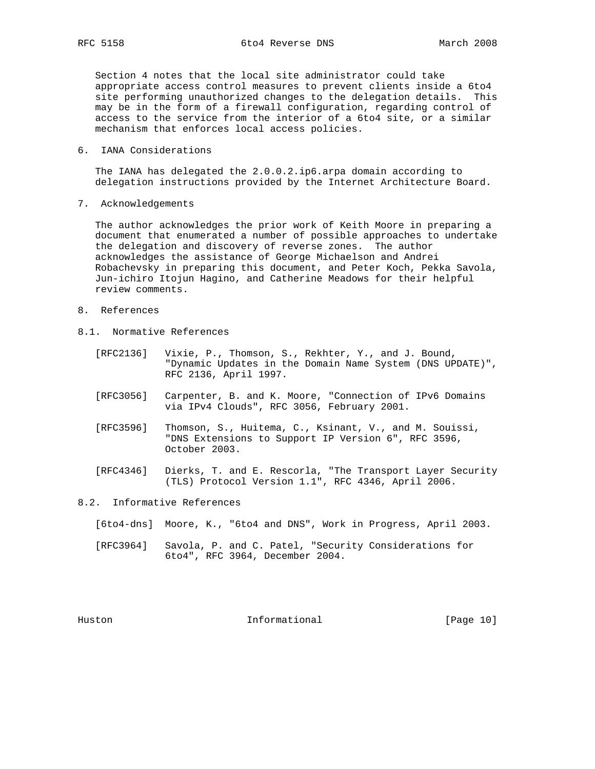Section 4 notes that the local site administrator could take appropriate access control measures to prevent clients inside a 6to4 site performing unauthorized changes to the delegation details. This may be in the form of a firewall configuration, regarding control of access to the service from the interior of a 6to4 site, or a similar mechanism that enforces local access policies.

6. IANA Considerations

 The IANA has delegated the 2.0.0.2.ip6.arpa domain according to delegation instructions provided by the Internet Architecture Board.

7. Acknowledgements

 The author acknowledges the prior work of Keith Moore in preparing a document that enumerated a number of possible approaches to undertake the delegation and discovery of reverse zones. The author acknowledges the assistance of George Michaelson and Andrei Robachevsky in preparing this document, and Peter Koch, Pekka Savola, Jun-ichiro Itojun Hagino, and Catherine Meadows for their helpful review comments.

- 8. References
- 8.1. Normative References
	- [RFC2136] Vixie, P., Thomson, S., Rekhter, Y., and J. Bound, "Dynamic Updates in the Domain Name System (DNS UPDATE)", RFC 2136, April 1997.
	- [RFC3056] Carpenter, B. and K. Moore, "Connection of IPv6 Domains via IPv4 Clouds", RFC 3056, February 2001.
	- [RFC3596] Thomson, S., Huitema, C., Ksinant, V., and M. Souissi, "DNS Extensions to Support IP Version 6", RFC 3596, October 2003.
- [RFC4346] Dierks, T. and E. Rescorla, "The Transport Layer Security (TLS) Protocol Version 1.1", RFC 4346, April 2006.
- 8.2. Informative References
	- [6to4-dns] Moore, K., "6to4 and DNS", Work in Progress, April 2003.
	- [RFC3964] Savola, P. and C. Patel, "Security Considerations for 6to4", RFC 3964, December 2004.

Huston **Informational Informational** [Page 10]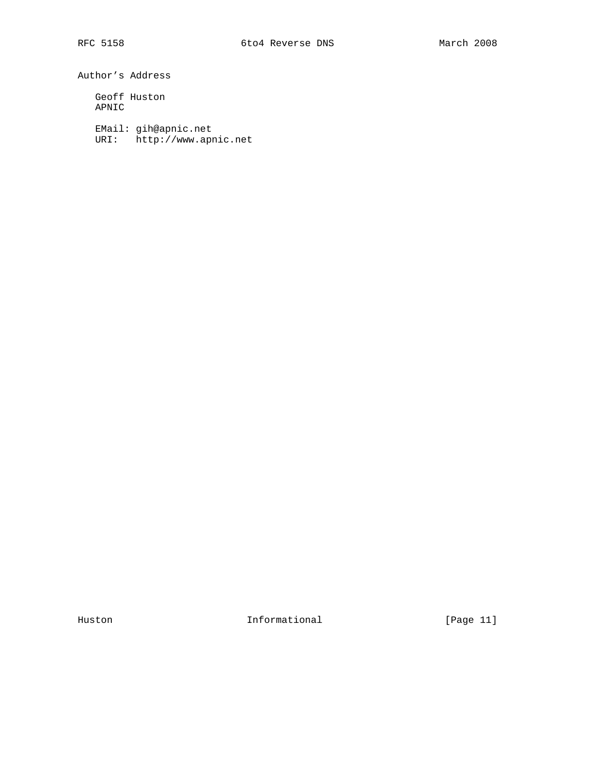Author's Address

 Geoff Huston APNIC

EMail: gih@apnic.net

URI: http://www.apnic.net

Huston **Informational Informational** [Page 11]